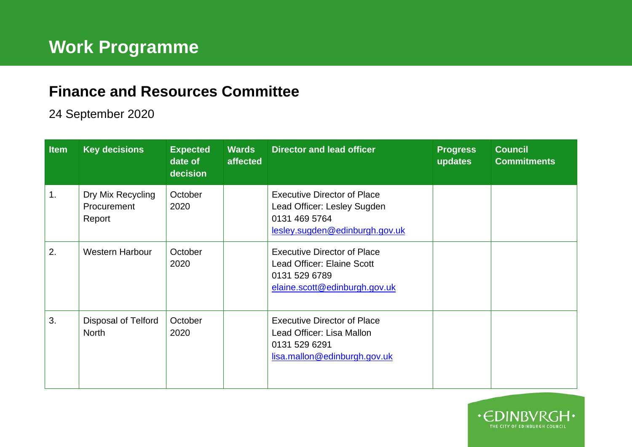## **Finance and Resources Committee**

## 24 September 2020

| <b>Item</b> | <b>Key decisions</b>                       | <b>Expected</b><br>date of<br>decision | <b>Wards</b><br>affected | <b>Director and lead officer</b>                                                                                     | <b>Progress</b><br>updates | <b>Council</b><br><b>Commitments</b> |
|-------------|--------------------------------------------|----------------------------------------|--------------------------|----------------------------------------------------------------------------------------------------------------------|----------------------------|--------------------------------------|
| 1.          | Dry Mix Recycling<br>Procurement<br>Report | October<br>2020                        |                          | <b>Executive Director of Place</b><br>Lead Officer: Lesley Sugden<br>0131 469 5764<br>lesley.sugden@edinburgh.gov.uk |                            |                                      |
| 2.          | <b>Western Harbour</b>                     | October<br>2020                        |                          | <b>Executive Director of Place</b><br>Lead Officer: Elaine Scott<br>0131 529 6789<br>elaine.scott@edinburgh.gov.uk   |                            |                                      |
| 3.          | <b>Disposal of Telford</b><br><b>North</b> | October<br>2020                        |                          | <b>Executive Director of Place</b><br>Lead Officer: Lisa Mallon<br>0131 529 6291<br>lisa.mallon@edinburgh.gov.uk     |                            |                                      |

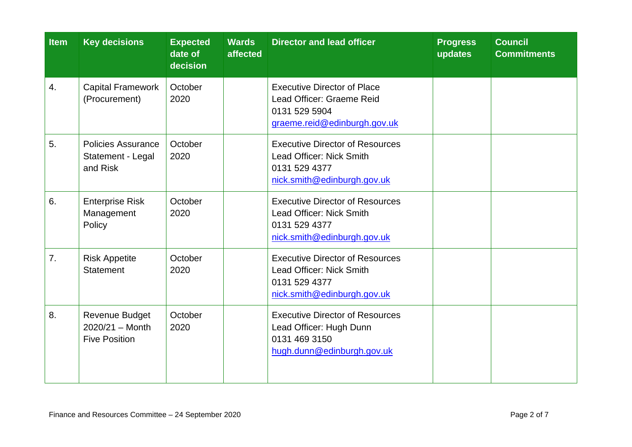| <b>Item</b> | <b>Key decisions</b>                                                      | <b>Expected</b><br>date of<br>decision | <b>Wards</b><br>affected | <b>Director and lead officer</b>                                                                                   | <b>Progress</b><br>updates | <b>Council</b><br><b>Commitments</b> |
|-------------|---------------------------------------------------------------------------|----------------------------------------|--------------------------|--------------------------------------------------------------------------------------------------------------------|----------------------------|--------------------------------------|
| 4.          | <b>Capital Framework</b><br>(Procurement)                                 | October<br>2020                        |                          | <b>Executive Director of Place</b><br>Lead Officer: Graeme Reid<br>0131 529 5904<br>graeme.reid@edinburgh.gov.uk   |                            |                                      |
| 5.          | <b>Policies Assurance</b><br>Statement - Legal<br>and Risk                | October<br>2020                        |                          | <b>Executive Director of Resources</b><br>Lead Officer: Nick Smith<br>0131 529 4377<br>nick.smith@edinburgh.gov.uk |                            |                                      |
| 6.          | <b>Enterprise Risk</b><br>Management<br>Policy                            | October<br>2020                        |                          | <b>Executive Director of Resources</b><br>Lead Officer: Nick Smith<br>0131 529 4377<br>nick.smith@edinburgh.gov.uk |                            |                                      |
| 7.          | <b>Risk Appetite</b><br><b>Statement</b>                                  | October<br>2020                        |                          | <b>Executive Director of Resources</b><br>Lead Officer: Nick Smith<br>0131 529 4377<br>nick.smith@edinburgh.gov.uk |                            |                                      |
| 8.          | <b>Revenue Budget</b><br>$2020/21 - \text{Month}$<br><b>Five Position</b> | October<br>2020                        |                          | <b>Executive Director of Resources</b><br>Lead Officer: Hugh Dunn<br>0131 469 3150<br>hugh.dunn@edinburgh.gov.uk   |                            |                                      |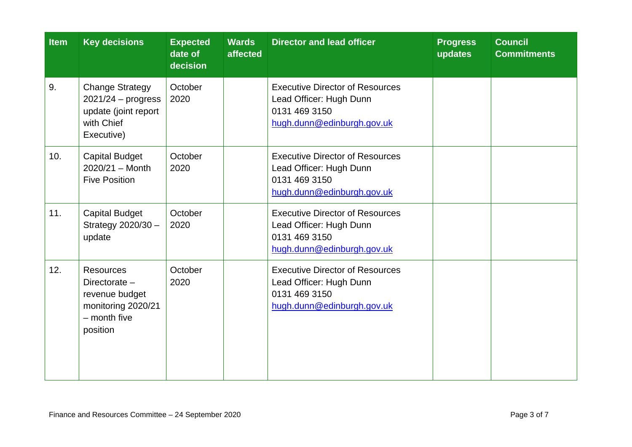| Item | <b>Key decisions</b>                                                                                      | <b>Expected</b><br>date of<br>decision | <b>Wards</b><br>affected | <b>Director and lead officer</b>                                                                                 | <b>Progress</b><br>updates | <b>Council</b><br><b>Commitments</b> |
|------|-----------------------------------------------------------------------------------------------------------|----------------------------------------|--------------------------|------------------------------------------------------------------------------------------------------------------|----------------------------|--------------------------------------|
| 9.   | <b>Change Strategy</b><br>$2021/24 -$ progress<br>update (joint report<br>with Chief<br>Executive)        | October<br>2020                        |                          | <b>Executive Director of Resources</b><br>Lead Officer: Hugh Dunn<br>0131 469 3150<br>hugh.dunn@edinburgh.gov.uk |                            |                                      |
| 10.  | <b>Capital Budget</b><br>$2020/21 - \text{Month}$<br><b>Five Position</b>                                 | October<br>2020                        |                          | <b>Executive Director of Resources</b><br>Lead Officer: Hugh Dunn<br>0131 469 3150<br>hugh.dunn@edinburgh.gov.uk |                            |                                      |
| 11.  | <b>Capital Budget</b><br>Strategy 2020/30 -<br>update                                                     | October<br>2020                        |                          | <b>Executive Director of Resources</b><br>Lead Officer: Hugh Dunn<br>0131 469 3150<br>hugh.dunn@edinburgh.gov.uk |                            |                                      |
| 12.  | <b>Resources</b><br>Directorate $-$<br>revenue budget<br>monitoring 2020/21<br>$-$ month five<br>position | October<br>2020                        |                          | <b>Executive Director of Resources</b><br>Lead Officer: Hugh Dunn<br>0131 469 3150<br>hugh.dunn@edinburgh.gov.uk |                            |                                      |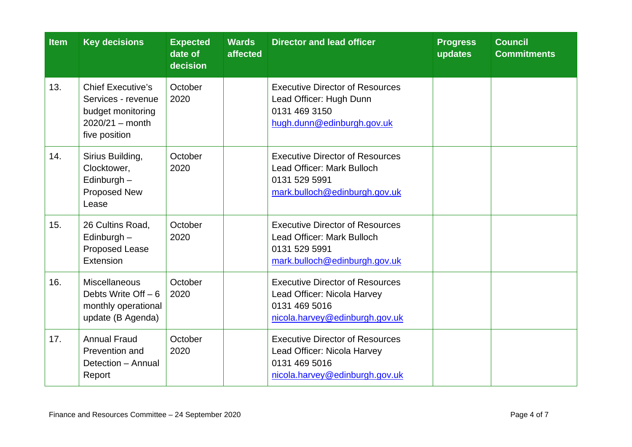| <b>Item</b> | <b>Key decisions</b>                                                                                      | <b>Expected</b><br>date of<br>decision | <b>Wards</b><br>affected | <b>Director and lead officer</b>                                                                                         | <b>Progress</b><br>updates | <b>Council</b><br><b>Commitments</b> |
|-------------|-----------------------------------------------------------------------------------------------------------|----------------------------------------|--------------------------|--------------------------------------------------------------------------------------------------------------------------|----------------------------|--------------------------------------|
| 13.         | <b>Chief Executive's</b><br>Services - revenue<br>budget monitoring<br>$2020/21 - month$<br>five position | October<br>2020                        |                          | <b>Executive Director of Resources</b><br>Lead Officer: Hugh Dunn<br>0131 469 3150<br>hugh.dunn@edinburgh.gov.uk         |                            |                                      |
| 14.         | Sirius Building,<br>Clocktower,<br>Edinburgh -<br>Proposed New<br>Lease                                   | October<br>2020                        |                          | <b>Executive Director of Resources</b><br>Lead Officer: Mark Bulloch<br>0131 529 5991<br>mark.bulloch@edinburgh.gov.uk   |                            |                                      |
| 15.         | 26 Cultins Road,<br>Edinburgh $-$<br><b>Proposed Lease</b><br>Extension                                   | October<br>2020                        |                          | <b>Executive Director of Resources</b><br>Lead Officer: Mark Bulloch<br>0131 529 5991<br>mark.bulloch@edinburgh.gov.uk   |                            |                                      |
| 16.         | <b>Miscellaneous</b><br>Debts Write Off $-6$<br>monthly operational<br>update (B Agenda)                  | October<br>2020                        |                          | <b>Executive Director of Resources</b><br>Lead Officer: Nicola Harvey<br>0131 469 5016<br>nicola.harvey@edinburgh.gov.uk |                            |                                      |
| 17.         | <b>Annual Fraud</b><br>Prevention and<br>Detection - Annual<br>Report                                     | October<br>2020                        |                          | <b>Executive Director of Resources</b><br>Lead Officer: Nicola Harvey<br>0131 469 5016<br>nicola.harvey@edinburgh.gov.uk |                            |                                      |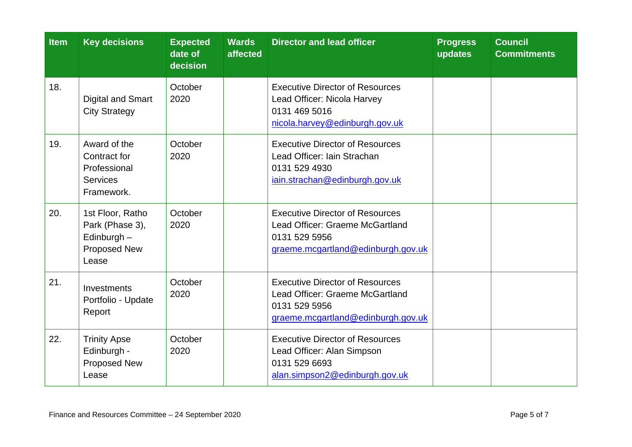| <b>Item</b> | <b>Key decisions</b>                                                          | <b>Expected</b><br>date of<br>decision | <b>Wards</b><br>affected | <b>Director and lead officer</b>                                                                                                 | <b>Progress</b><br>updates | <b>Council</b><br><b>Commitments</b> |
|-------------|-------------------------------------------------------------------------------|----------------------------------------|--------------------------|----------------------------------------------------------------------------------------------------------------------------------|----------------------------|--------------------------------------|
| 18.         | <b>Digital and Smart</b><br><b>City Strategy</b>                              | October<br>2020                        |                          | <b>Executive Director of Resources</b><br>Lead Officer: Nicola Harvey<br>0131 469 5016<br>nicola.harvey@edinburgh.gov.uk         |                            |                                      |
| 19.         | Award of the<br>Contract for<br>Professional<br><b>Services</b><br>Framework. | October<br>2020                        |                          | <b>Executive Director of Resources</b><br>Lead Officer: Iain Strachan<br>0131 529 4930<br>iain.strachan@edinburgh.gov.uk         |                            |                                      |
| 20.         | 1st Floor, Ratho<br>Park (Phase 3),<br>Edinburgh -<br>Proposed New<br>Lease   | October<br>2020                        |                          | <b>Executive Director of Resources</b><br>Lead Officer: Graeme McGartland<br>0131 529 5956<br>graeme.mcgartland@edinburgh.gov.uk |                            |                                      |
| 21.         | Investments<br>Portfolio - Update<br>Report                                   | October<br>2020                        |                          | <b>Executive Director of Resources</b><br>Lead Officer: Graeme McGartland<br>0131 529 5956<br>graeme.mcgartland@edinburgh.gov.uk |                            |                                      |
| 22.         | <b>Trinity Apse</b><br>Edinburgh -<br>Proposed New<br>Lease                   | October<br>2020                        |                          | <b>Executive Director of Resources</b><br>Lead Officer: Alan Simpson<br>0131 529 6693<br>alan.simpson2@edinburgh.gov.uk          |                            |                                      |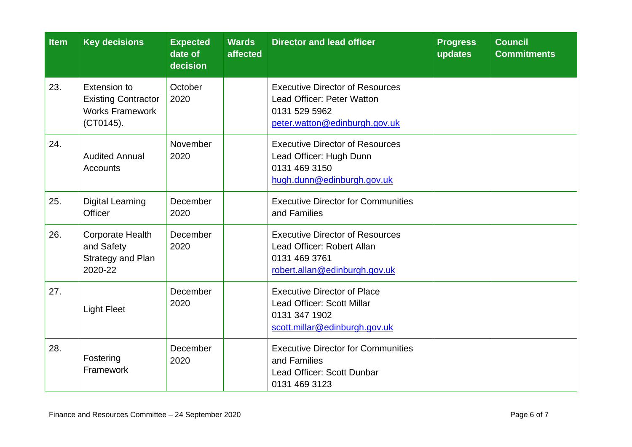| <b>Item</b> | <b>Key decisions</b>                                                                     | <b>Expected</b><br>date of<br>decision | <b>Wards</b><br>affected | <b>Director and lead officer</b>                                                                                       | <b>Progress</b><br>updates | <b>Council</b><br><b>Commitments</b> |
|-------------|------------------------------------------------------------------------------------------|----------------------------------------|--------------------------|------------------------------------------------------------------------------------------------------------------------|----------------------------|--------------------------------------|
| 23.         | <b>Extension to</b><br><b>Existing Contractor</b><br><b>Works Framework</b><br>(CT0145). | October<br>2020                        |                          | <b>Executive Director of Resources</b><br>Lead Officer: Peter Watton<br>0131 529 5962<br>peter.watton@edinburgh.gov.uk |                            |                                      |
| 24.         | <b>Audited Annual</b><br><b>Accounts</b>                                                 | November<br>2020                       |                          | <b>Executive Director of Resources</b><br>Lead Officer: Hugh Dunn<br>0131 469 3150<br>hugh.dunn@edinburgh.gov.uk       |                            |                                      |
| 25.         | <b>Digital Learning</b><br>Officer                                                       | December<br>2020                       |                          | <b>Executive Director for Communities</b><br>and Families                                                              |                            |                                      |
| 26.         | <b>Corporate Health</b><br>and Safety<br>Strategy and Plan<br>2020-22                    | December<br>2020                       |                          | <b>Executive Director of Resources</b><br>Lead Officer: Robert Allan<br>0131 469 3761<br>robert.allan@edinburgh.gov.uk |                            |                                      |
| 27.         | <b>Light Fleet</b>                                                                       | December<br>2020                       |                          | <b>Executive Director of Place</b><br>Lead Officer: Scott Millar<br>0131 347 1902<br>scott.millar@edinburgh.gov.uk     |                            |                                      |
| 28.         | Fostering<br>Framework                                                                   | December<br>2020                       |                          | <b>Executive Director for Communities</b><br>and Families<br>Lead Officer: Scott Dunbar<br>0131 469 3123               |                            |                                      |